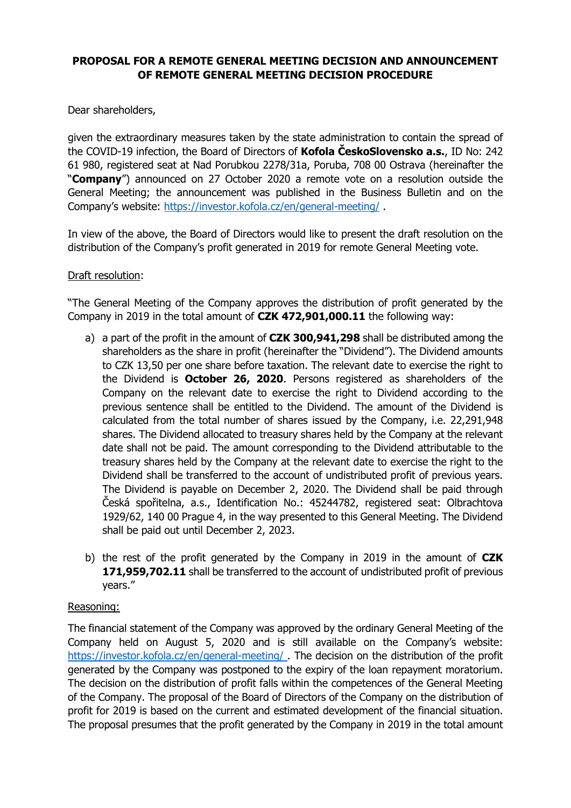## **PROPOSAL FOR A REMOTE GENERAL MEETING DECISION AND ANNOUNCEMENT OF REMOTE GENERAL MEETING DECISION PROCEDURE**

Dear shareholders,

given the extraordinary measures taken by the state administration to contain the spread of the COVID-19 infection, the Board of Directors of **Kofola ČeskoSlovensko a.s.**, ID No: 242 61 980, registered seat at Nad Porubkou 2278/31a, Poruba, 708 00 Ostrava (hereinafter the "**Company**") announced on 27 October 2020 a remote vote on a resolution outside the General Meeting; the announcement was published in the Business Bulletin and on the Company's website: <https://investor.kofola.cz/en/general-meeting/> .

In view of the above, the Board of Directors would like to present the draft resolution on the distribution of the Company's profit generated in 2019 for remote General Meeting vote.

## Draft resolution:

"The General Meeting of the Company approves the distribution of profit generated by the Company in 2019 in the total amount of **CZK 472,901,000.11** the following way:

- a) a part of the profit in the amount of **CZK 300,941,298** shall be distributed among the shareholders as the share in profit (hereinafter the "Dividend"). The Dividend amounts to CZK 13,50 per one share before taxation. The relevant date to exercise the right to the Dividend is **October 26, 2020**. Persons registered as shareholders of the Company on the relevant date to exercise the right to Dividend according to the previous sentence shall be entitled to the Dividend. The amount of the Dividend is calculated from the total number of shares issued by the Company, i.e. 22,291,948 shares. The Dividend allocated to treasury shares held by the Company at the relevant date shall not be paid. The amount corresponding to the Dividend attributable to the treasury shares held by the Company at the relevant date to exercise the right to the Dividend shall be transferred to the account of undistributed profit of previous years. The Dividend is payable on December 2, 2020. The Dividend shall be paid through Česká spořitelna, a.s., Identification No.: 45244782, registered seat: Olbrachtova 1929/62, 140 00 Prague 4, in the way presented to this General Meeting. The Dividend shall be paid out until December 2, 2023.
- b) the rest of the profit generated by the Company in 2019 in the amount of **CZK 171,959,702.11** shall be transferred to the account of undistributed profit of previous years."

## Reasoning:

The financial statement of the Company was approved by the ordinary General Meeting of the Company held on August 5, 2020 and is still available on the Company's website: <https://investor.kofola.cz/en/general-meeting/> . The decision on the distribution of the profit generated by the Company was postponed to the expiry of the loan repayment moratorium. The decision on the distribution of profit falls within the competences of the General Meeting of the Company. The proposal of the Board of Directors of the Company on the distribution of profit for 2019 is based on the current and estimated development of the financial situation. The proposal presumes that the profit generated by the Company in 2019 in the total amount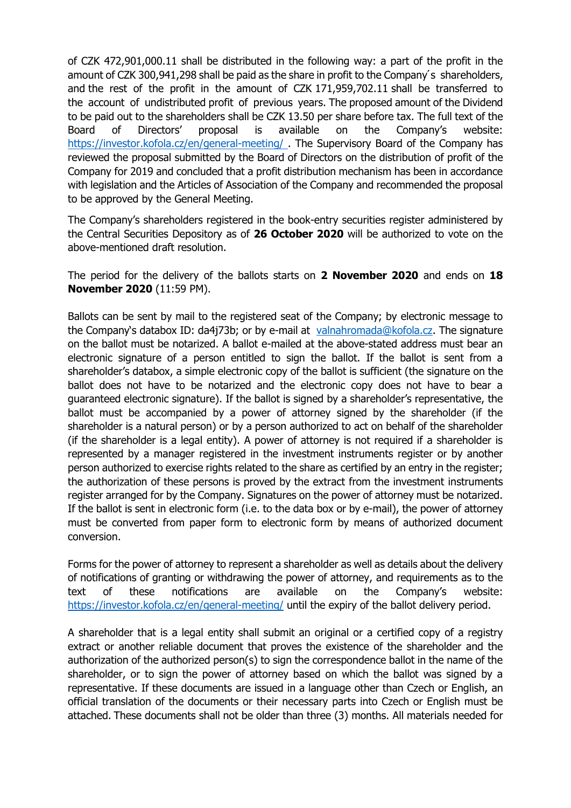of CZK 472,901,000.11 shall be distributed in the following way: a part of the profit in the amount of CZK 300,941,298 shall be paid as the share in profit to the Company's shareholders, and the rest of the profit in the amount of CZK 171,959,702.11 shall be transferred to the account of undistributed profit of previous years. The proposed amount of the Dividend to be paid out to the shareholders shall be CZK 13.50 per share before tax. The full text of the Board of Directors' proposal is available on the Company's website: <https://investor.kofola.cz/en/general-meeting/> . The Supervisory Board of the Company has reviewed the proposal submitted by the Board of Directors on the distribution of profit of the Company for 2019 and concluded that a profit distribution mechanism has been in accordance with legislation and the Articles of Association of the Company and recommended the proposal to be approved by the General Meeting.

The Company's shareholders registered in the book-entry securities register administered by the Central Securities Depository as of **26 October 2020** will be authorized to vote on the above-mentioned draft resolution.

The period for the delivery of the ballots starts on **2 November 2020** and ends on **18 November 2020** (11:59 PM).

Ballots can be sent by mail to the registered seat of the Company; by electronic message to the Company's databox ID: da4j73b; or by e-mail at [valnahromada@kofola.cz.](mailto:valnahromada@kofola.cz) The signature on the ballot must be notarized. A ballot e-mailed at the above-stated address must bear an electronic signature of a person entitled to sign the ballot. If the ballot is sent from a shareholder's databox, a simple electronic copy of the ballot is sufficient (the signature on the ballot does not have to be notarized and the electronic copy does not have to bear a guaranteed electronic signature). If the ballot is signed by a shareholder's representative, the ballot must be accompanied by a power of attorney signed by the shareholder (if the shareholder is a natural person) or by a person authorized to act on behalf of the shareholder (if the shareholder is a legal entity). A power of attorney is not required if a shareholder is represented by a manager registered in the investment instruments register or by another person authorized to exercise rights related to the share as certified by an entry in the register; the authorization of these persons is proved by the extract from the investment instruments register arranged for by the Company. Signatures on the power of attorney must be notarized. If the ballot is sent in electronic form (i.e. to the data box or by e-mail), the power of attorney must be converted from paper form to electronic form by means of authorized document conversion.

Forms for the power of attorney to represent a shareholder as well as details about the delivery of notifications of granting or withdrawing the power of attorney, and requirements as to the text of these notifications are available on the Company's website: <https://investor.kofola.cz/en/general-meeting/> until the expiry of the ballot delivery period.

A shareholder that is a legal entity shall submit an original or a certified copy of a registry extract or another reliable document that proves the existence of the shareholder and the authorization of the authorized person(s) to sign the correspondence ballot in the name of the shareholder, or to sign the power of attorney based on which the ballot was signed by a representative. If these documents are issued in a language other than Czech or English, an official translation of the documents or their necessary parts into Czech or English must be attached. These documents shall not be older than three (3) months. All materials needed for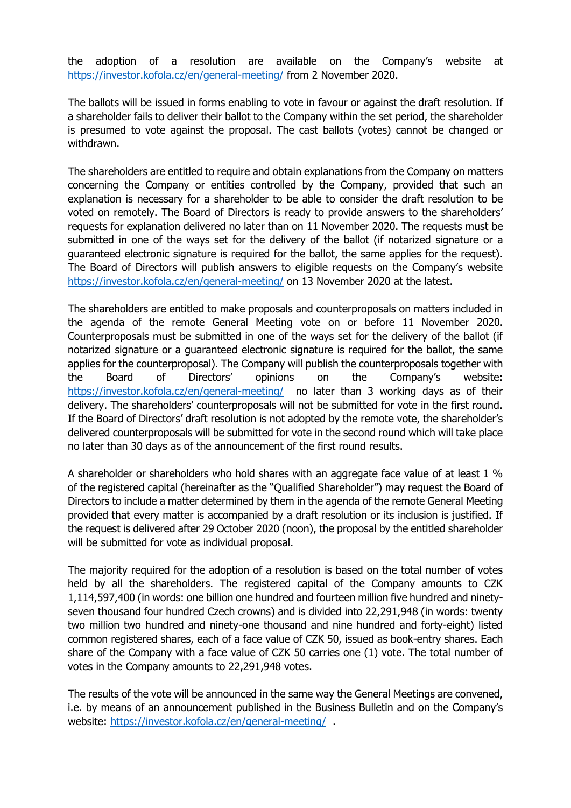the adoption of a resolution are available on the Company's website at <https://investor.kofola.cz/en/general-meeting/> from 2 November 2020.

The ballots will be issued in forms enabling to vote in favour or against the draft resolution. If a shareholder fails to deliver their ballot to the Company within the set period, the shareholder is presumed to vote against the proposal. The cast ballots (votes) cannot be changed or withdrawn.

The shareholders are entitled to require and obtain explanations from the Company on matters concerning the Company or entities controlled by the Company, provided that such an explanation is necessary for a shareholder to be able to consider the draft resolution to be voted on remotely. The Board of Directors is ready to provide answers to the shareholders' requests for explanation delivered no later than on 11 November 2020. The requests must be submitted in one of the ways set for the delivery of the ballot (if notarized signature or a guaranteed electronic signature is required for the ballot, the same applies for the request). The Board of Directors will publish answers to eligible requests on the Company's website <https://investor.kofola.cz/en/general-meeting/> on 13 November 2020 at the latest.

The shareholders are entitled to make proposals and counterproposals on matters included in the agenda of the remote General Meeting vote on or before 11 November 2020. Counterproposals must be submitted in one of the ways set for the delivery of the ballot (if notarized signature or a guaranteed electronic signature is required for the ballot, the same applies for the counterproposal). The Company will publish the counterproposals together with the Board of Directors' opinions on the Company's website: <https://investor.kofola.cz/en/general-meeting/> no later than 3 working days as of their delivery. The shareholders' counterproposals will not be submitted for vote in the first round. If the Board of Directors' draft resolution is not adopted by the remote vote, the shareholder's delivered counterproposals will be submitted for vote in the second round which will take place no later than 30 days as of the announcement of the first round results.

A shareholder or shareholders who hold shares with an aggregate face value of at least 1 % of the registered capital (hereinafter as the "Qualified Shareholder") may request the Board of Directors to include a matter determined by them in the agenda of the remote General Meeting provided that every matter is accompanied by a draft resolution or its inclusion is justified. If the request is delivered after 29 October 2020 (noon), the proposal by the entitled shareholder will be submitted for vote as individual proposal.

The majority required for the adoption of a resolution is based on the total number of votes held by all the shareholders. The registered capital of the Company amounts to CZK 1,114,597,400 (in words: one billion one hundred and fourteen million five hundred and ninetyseven thousand four hundred Czech crowns) and is divided into 22,291,948 (in words: twenty two million two hundred and ninety-one thousand and nine hundred and forty-eight) listed common registered shares, each of a face value of CZK 50, issued as book-entry shares. Each share of the Company with a face value of CZK 50 carries one (1) vote. The total number of votes in the Company amounts to 22,291,948 votes.

The results of the vote will be announced in the same way the General Meetings are convened, i.e. by means of an announcement published in the Business Bulletin and on the Company's website:<https://investor.kofola.cz/en/general-meeting/> .